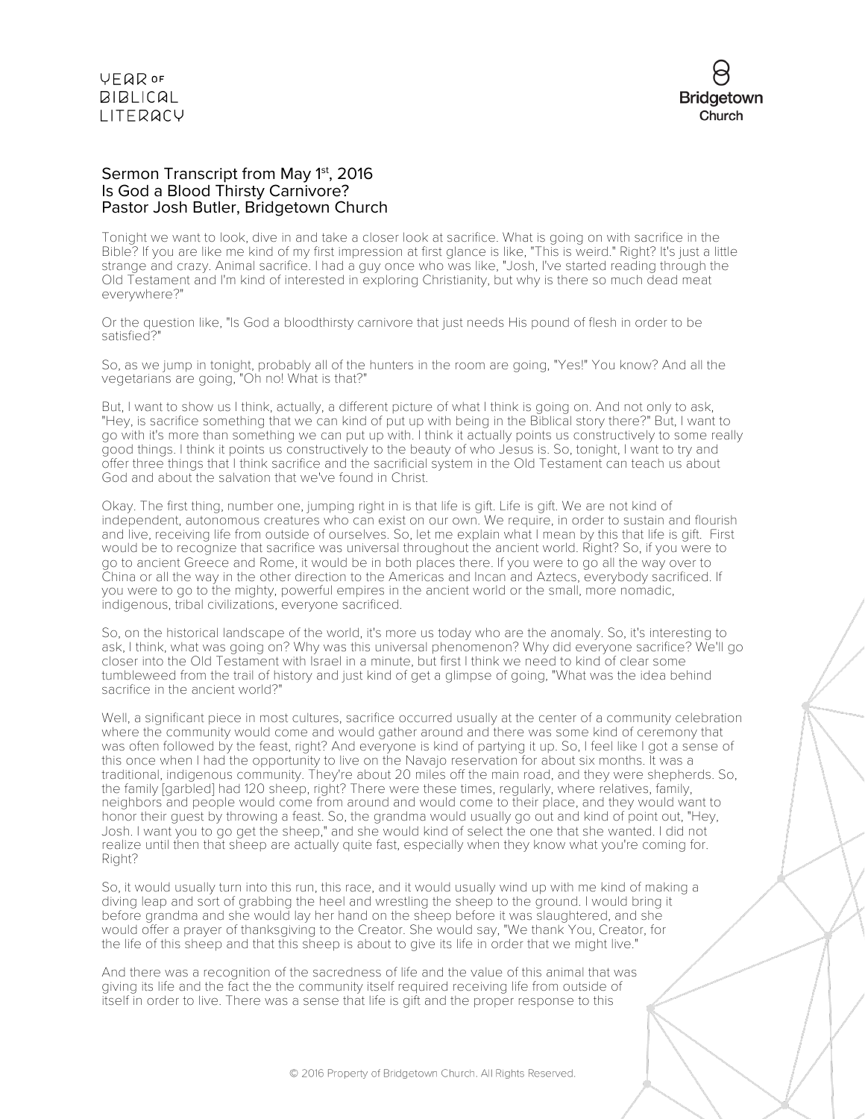

### Sermon Transcript from May 1<sup>st</sup>, 2016 Is God a Blood Thirsty Carnivore? Pastor Josh Butler, Bridgetown Church

Tonight we want to look, dive in and take a closer look at sacrifice. What is going on with sacrifice in the Bible? If you are like me kind of my first impression at first glance is like, "This is weird." Right? It's just a little strange and crazy. Animal sacrifice. I had a guy once who was like, "Josh, I've started reading through the Old Testament and I'm kind of interested in exploring Christianity, but why is there so much dead meat everywhere?"

Or the question like, "Is God a bloodthirsty carnivore that just needs His pound of flesh in order to be satisfied?"

So, as we jump in tonight, probably all of the hunters in the room are going, "Yes!" You know? And all the vegetarians are going, "Oh no! What is that?"

But, I want to show us I think, actually, a different picture of what I think is going on. And not only to ask, "Hey, is sacrifice something that we can kind of put up with being in the Biblical story there?" But, I want to go with it's more than something we can put up with. I think it actually points us constructively to some really good things. I think it points us constructively to the beauty of who Jesus is. So, tonight, I want to try and offer three things that I think sacrifice and the sacrificial system in the Old Testament can teach us about God and about the salvation that we've found in Christ.

Okay. The first thing, number one, jumping right in is that life is gift. Life is gift. We are not kind of independent, autonomous creatures who can exist on our own. We require, in order to sustain and flourish and live, receiving life from outside of ourselves. So, let me explain what I mean by this that life is gift. First would be to recognize that sacrifice was universal throughout the ancient world. Right? So, if you were to go to ancient Greece and Rome, it would be in both places there. If you were to go all the way over to China or all the way in the other direction to the Americas and Incan and Aztecs, everybody sacrificed. If you were to go to the mighty, powerful empires in the ancient world or the small, more nomadic, indigenous, tribal civilizations, everyone sacrificed.

So, on the historical landscape of the world, it's more us today who are the anomaly. So, it's interesting to ask, I think, what was going on? Why was this universal phenomenon? Why did everyone sacrifice? We'll go closer into the Old Testament with Israel in a minute, but first I think we need to kind of clear some tumbleweed from the trail of history and just kind of get a glimpse of going, "What was the idea behind sacrifice in the ancient world?"

Well, a significant piece in most cultures, sacrifice occurred usually at the center of a community celebration where the community would come and would gather around and there was some kind of ceremony that was often followed by the feast, right? And everyone is kind of partying it up. So, I feel like I got a sense of this once when I had the opportunity to live on the Navajo reservation for about six months. It was a traditional, indigenous community. They're about 20 miles off the main road, and they were shepherds. So, the family [garbled] had 120 sheep, right? There were these times, regularly, where relatives, family, neighbors and people would come from around and would come to their place, and they would want to honor their guest by throwing a feast. So, the grandma would usually go out and kind of point out, "Hey, Josh. I want you to go get the sheep," and she would kind of select the one that she wanted. I did not realize until then that sheep are actually quite fast, especially when they know what you're coming for. Right?

So, it would usually turn into this run, this race, and it would usually wind up with me kind of making a diving leap and sort of grabbing the heel and wrestling the sheep to the ground. I would bring it before grandma and she would lay her hand on the sheep before it was slaughtered, and she would offer a prayer of thanksgiving to the Creator. She would say, "We thank You, Creator, for the life of this sheep and that this sheep is about to give its life in order that we might live."

And there was a recognition of the sacredness of life and the value of this animal that was giving its life and the fact the the community itself required receiving life from outside of itself in order to live. There was a sense that life is gift and the proper response to this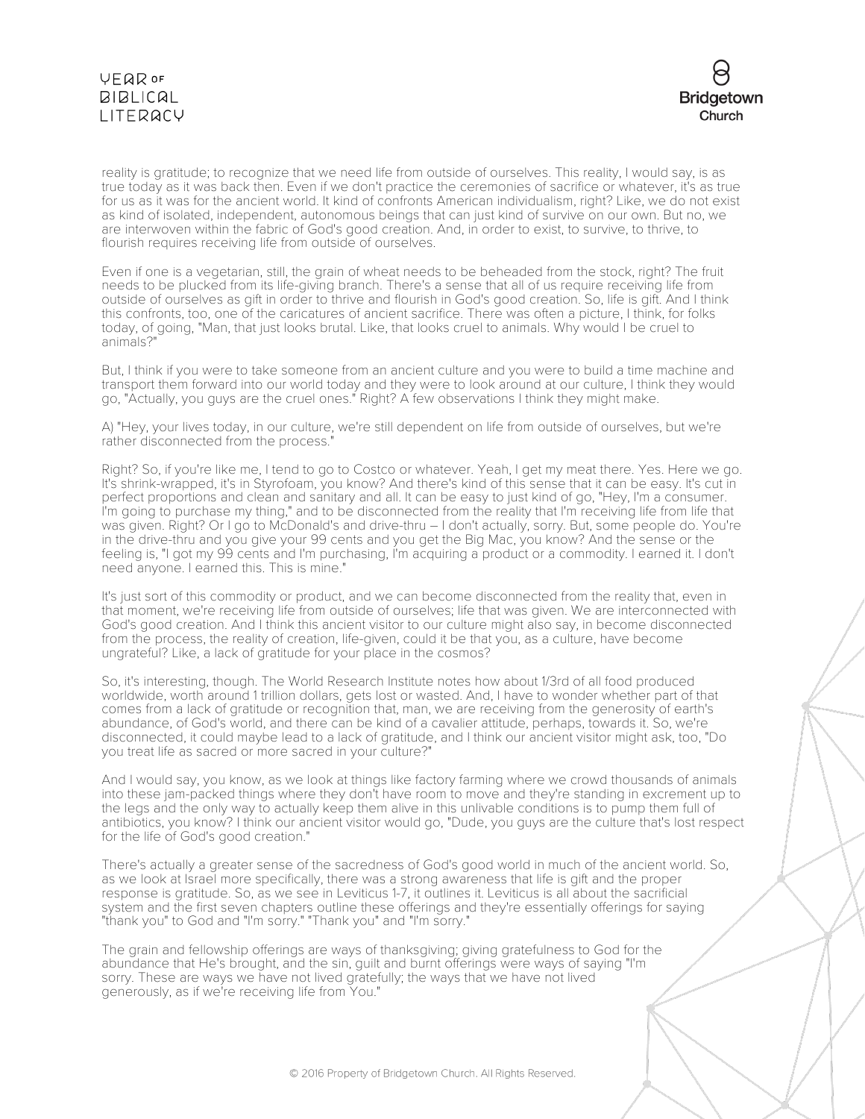# **VEQR OF BIBLICAL** LITERACY



reality is gratitude; to recognize that we need life from outside of ourselves. This reality, I would say, is as true today as it was back then. Even if we don't practice the ceremonies of sacrifice or whatever, it's as true for us as it was for the ancient world. It kind of confronts American individualism, right? Like, we do not exist as kind of isolated, independent, autonomous beings that can just kind of survive on our own. But no, we are interwoven within the fabric of God's good creation. And, in order to exist, to survive, to thrive, to flourish requires receiving life from outside of ourselves.

Even if one is a vegetarian, still, the grain of wheat needs to be beheaded from the stock, right? The fruit needs to be plucked from its life-giving branch. There's a sense that all of us require receiving life from outside of ourselves as gift in order to thrive and flourish in God's good creation. So, life is gift. And I think this confronts, too, one of the caricatures of ancient sacrifice. There was often a picture, I think, for folks today, of going, "Man, that just looks brutal. Like, that looks cruel to animals. Why would I be cruel to animals?"

But, I think if you were to take someone from an ancient culture and you were to build a time machine and transport them forward into our world today and they were to look around at our culture, I think they would go, "Actually, you guys are the cruel ones." Right? A few observations I think they might make.

A) "Hey, your lives today, in our culture, we're still dependent on life from outside of ourselves, but we're rather disconnected from the process."

Right? So, if you're like me, I tend to go to Costco or whatever. Yeah, I get my meat there. Yes. Here we go. It's shrink-wrapped, it's in Styrofoam, you know? And there's kind of this sense that it can be easy. It's cut in perfect proportions and clean and sanitary and all. It can be easy to just kind of go, "Hey, I'm a consumer. I'm going to purchase my thing," and to be disconnected from the reality that I'm receiving life from life that was given. Right? Or I go to McDonald's and drive-thru - I don't actually, sorry. But, some people do. You're in the drive-thru and you give your 99 cents and you get the Big Mac, you know? And the sense or the feeling is, "I got my 99 cents and I'm purchasing, I'm acquiring a product or a commodity. I earned it. I don't need anyone. I earned this. This is mine."

It's just sort of this commodity or product, and we can become disconnected from the reality that, even in that moment, we're receiving life from outside of ourselves; life that was given. We are interconnected with God's good creation. And I think this ancient visitor to our culture might also say, in become disconnected from the process, the reality of creation, life-given, could it be that you, as a culture, have become ungrateful? Like, a lack of gratitude for your place in the cosmos?

So, it's interesting, though. The World Research Institute notes how about 1/3rd of all food produced worldwide, worth around 1 trillion dollars, gets lost or wasted. And, I have to wonder whether part of that comes from a lack of gratitude or recognition that, man, we are receiving from the generosity of earth's abundance, of God's world, and there can be kind of a cavalier attitude, perhaps, towards it. So, we're disconnected, it could maybe lead to a lack of gratitude, and I think our ancient visitor might ask, too, "Do you treat life as sacred or more sacred in your culture?"

And I would say, you know, as we look at things like factory farming where we crowd thousands of animals into these jam-packed things where they don't have room to move and they're standing in excrement up to the legs and the only way to actually keep them alive in this unlivable conditions is to pump them full of antibiotics, you know? I think our ancient visitor would go, "Dude, you guys are the culture that's lost respect for the life of God's good creation."

There's actually a greater sense of the sacredness of God's good world in much of the ancient world. So, as we look at Israel more specifically, there was a strong awareness that life is gift and the proper response is gratitude. So, as we see in Leviticus 1-7, it outlines it. Leviticus is all about the sacrificial system and the first seven chapters outline these offerings and they're essentially offerings for saying "thank you" to God and "I'm sorry." "Thank you" and "I'm sorry."

The grain and fellowship offerings are ways of thanksgiving; giving gratefulness to God for the abundance that He's brought, and the sin, guilt and burnt offerings were ways of saying "I'm sorry. These are ways we have not lived gratefully; the ways that we have not lived generously, as if we're receiving life from You."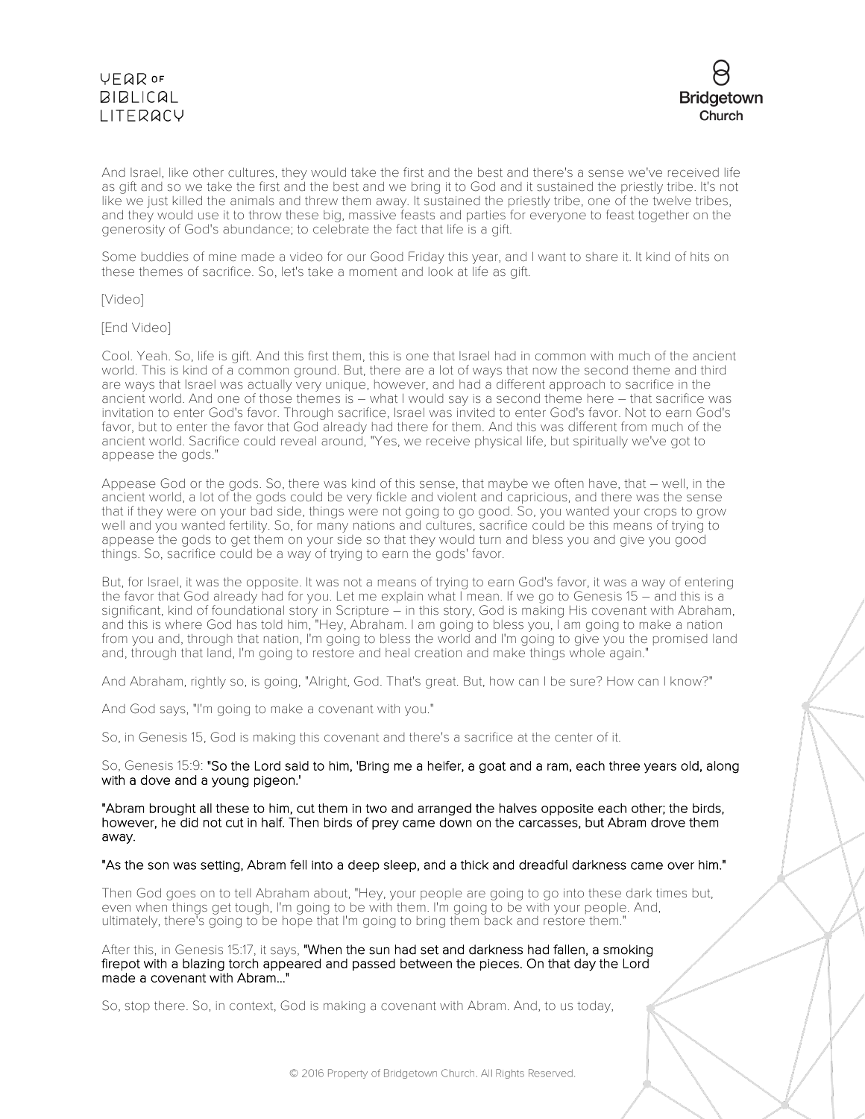

And Israel, like other cultures, they would take the first and the best and there's a sense we've received life as gift and so we take the first and the best and we bring it to God and it sustained the priestly tribe. It's not like we just killed the animals and threw them away. It sustained the priestly tribe, one of the twelve tribes, and they would use it to throw these big, massive feasts and parties for everyone to feast together on the generosity of God's abundance; to celebrate the fact that life is a gift.

Some buddies of mine made a video for our Good Friday this year, and I want to share it. It kind of hits on these themes of sacrifice. So, let's take a moment and look at life as gift.

[Video]

[End Video]

Cool. Yeah. So, life is gift. And this first them, this is one that Israel had in common with much of the ancient world. This is kind of a common ground. But, there are a lot of ways that now the second theme and third are ways that Israel was actually very unique, however, and had a different approach to sacrifice in the ancient world. And one of those themes is – what I would say is a second theme here – that sacrifice was invitation to enter God's favor. Through sacrifice, Israel was invited to enter God's favor. Not to earn God's favor, but to enter the favor that God already had there for them. And this was different from much of the ancient world. Sacrifice could reveal around, "Yes, we receive physical life, but spiritually we've got to appease the gods."

Appease God or the gods. So, there was kind of this sense, that maybe we often have, that – well, in the ancient world, a lot of the gods could be very fickle and violent and capricious, and there was the sense that if they were on your bad side, things were not going to go good. So, you wanted your crops to grow well and you wanted fertility. So, for many nations and cultures, sacrifice could be this means of trying to appease the gods to get them on your side so that they would turn and bless you and give you good things. So, sacrifice could be a way of trying to earn the gods' favor.

But, for Israel, it was the opposite. It was not a means of trying to earn God's favor, it was a way of entering the favor that God already had for you. Let me explain what I mean. If we go to Genesis 15 – and this is a significant, kind of foundational story in Scripture – in this story, God is making His covenant with Abraham, and this is where God has told him, "Hey, Abraham. I am going to bless you, I am going to make a nation from you and, through that nation, I'm going to bless the world and I'm going to give you the promised land and, through that land, I'm going to restore and heal creation and make things whole again."

And Abraham, rightly so, is going, "Alright, God. That's great. But, how can I be sure? How can I know?"

And God says, "I'm going to make a covenant with you."

So, in Genesis 15, God is making this covenant and there's a sacrifice at the center of it.

So, Genesis 15:9: "So the Lord said to him, 'Bring me a heifer, a goat and a ram, each three years old, along with a dove and a young pigeon.'

"Abram brought all these to him, cut them in two and arranged the halves opposite each other; the birds, however, he did not cut in half. Then birds of prey came down on the carcasses, but Abram drove them away.

#### "As the son was setting, Abram fell into a deep sleep, and a thick and dreadful darkness came over him."

Then God goes on to tell Abraham about, "Hey, your people are going to go into these dark times but, even when things get tough, I'm going to be with them. I'm going to be with your people. And, ultimately, there's going to be hope that I'm going to bring them back and restore them."

After this, in Genesis 15:17, it says, "When the sun had set and darkness had fallen, a smoking firepot with a blazing torch appeared and passed between the pieces. On that day the Lord made a covenant with Abram..."

So, stop there. So, in context, God is making a covenant with Abram. And, to us today,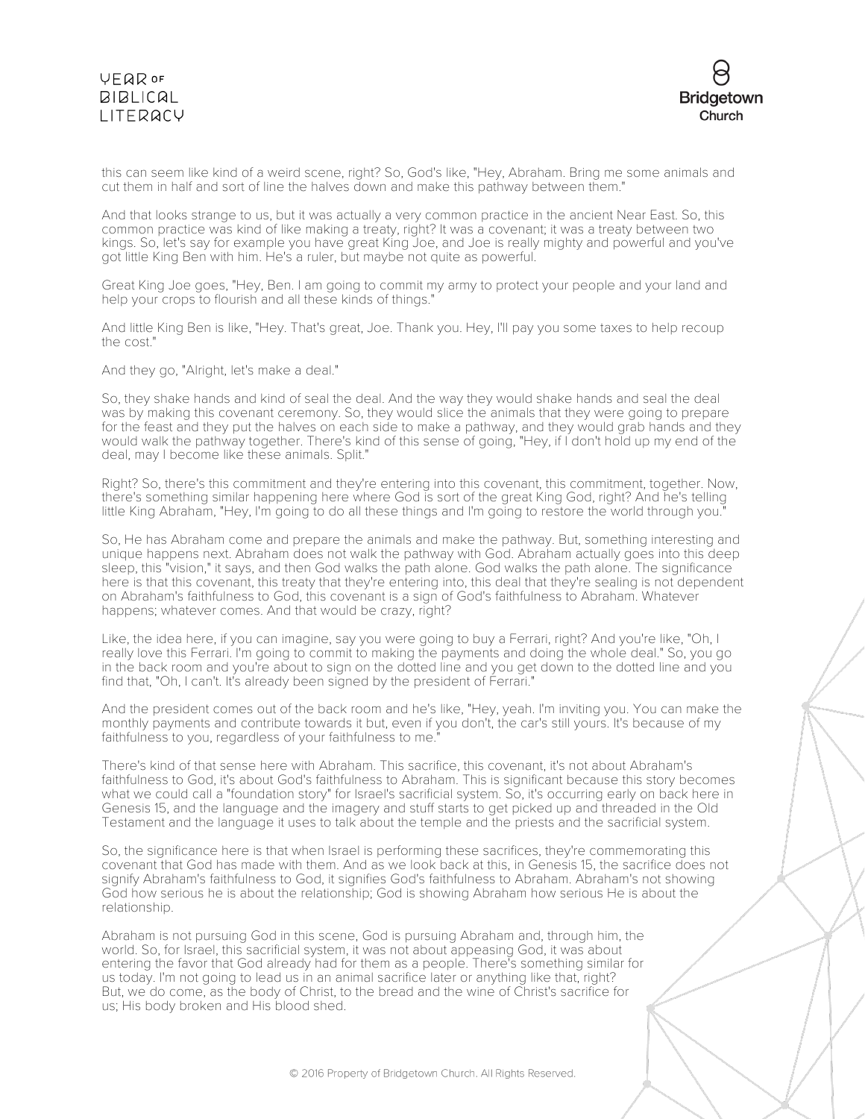# **VFQR OF BIBLICAL** LITERACY



this can seem like kind of a weird scene, right? So, God's like, "Hey, Abraham. Bring me some animals and cut them in half and sort of line the halves down and make this pathway between them."

And that looks strange to us, but it was actually a very common practice in the ancient Near East. So, this common practice was kind of like making a treaty, right? It was a covenant; it was a treaty between two kings. So, let's say for example you have great King Joe, and Joe is really mighty and powerful and you've got little King Ben with him. He's a ruler, but maybe not quite as powerful.

Great King Joe goes, "Hey, Ben. I am going to commit my army to protect your people and your land and help your crops to flourish and all these kinds of things."

And little King Ben is like, "Hey. That's great, Joe. Thank you. Hey, I'll pay you some taxes to help recoup the cost."

And they go, "Alright, let's make a deal."

So, they shake hands and kind of seal the deal. And the way they would shake hands and seal the deal was by making this covenant ceremony. So, they would slice the animals that they were going to prepare for the feast and they put the halves on each side to make a pathway, and they would grab hands and they would walk the pathway together. There's kind of this sense of going, "Hey, if I don't hold up my end of the deal, may I become like these animals. Split."

Right? So, there's this commitment and they're entering into this covenant, this commitment, together. Now, there's something similar happening here where God is sort of the great King God, right? And he's telling little King Abraham, "Hey, I'm going to do all these things and I'm going to restore the world through you."

So, He has Abraham come and prepare the animals and make the pathway. But, something interesting and unique happens next. Abraham does not walk the pathway with God. Abraham actually goes into this deep sleep, this "vision," it says, and then God walks the path alone. God walks the path alone. The significance here is that this covenant, this treaty that they're entering into, this deal that they're sealing is not dependent on Abraham's faithfulness to God, this covenant is a sign of God's faithfulness to Abraham. Whatever happens; whatever comes. And that would be crazy, right?

Like, the idea here, if you can imagine, say you were going to buy a Ferrari, right? And you're like, "Oh, I really love this Ferrari. I'm going to commit to making the payments and doing the whole deal." So, you go in the back room and you're about to sign on the dotted line and you get down to the dotted line and you find that, "Oh, I can't. It's already been signed by the president of Ferrari."

And the president comes out of the back room and he's like, "Hey, yeah. I'm inviting you. You can make the monthly payments and contribute towards it but, even if you don't, the car's still yours. It's because of my faithfulness to you, regardless of your faithfulness to me."

There's kind of that sense here with Abraham. This sacrifice, this covenant, it's not about Abraham's faithfulness to God, it's about God's faithfulness to Abraham. This is significant because this story becomes what we could call a "foundation story" for Israel's sacrificial system. So, it's occurring early on back here in Genesis 15, and the language and the imagery and stuff starts to get picked up and threaded in the Old Testament and the language it uses to talk about the temple and the priests and the sacrificial system.

So, the significance here is that when Israel is performing these sacrifices, they're commemorating this covenant that God has made with them. And as we look back at this, in Genesis 15, the sacrifice does not signify Abraham's faithfulness to God, it signifies God's faithfulness to Abraham. Abraham's not showing God how serious he is about the relationship; God is showing Abraham how serious He is about the relationship.

Abraham is not pursuing God in this scene, God is pursuing Abraham and, through him, the world. So, for Israel, this sacrificial system, it was not about appeasing God, it was about entering the favor that God already had for them as a people. There's something similar for us today. I'm not going to lead us in an animal sacrifice later or anything like that, right? But, we do come, as the body of Christ, to the bread and the wine of Christ's sacrifice for us; His body broken and His blood shed.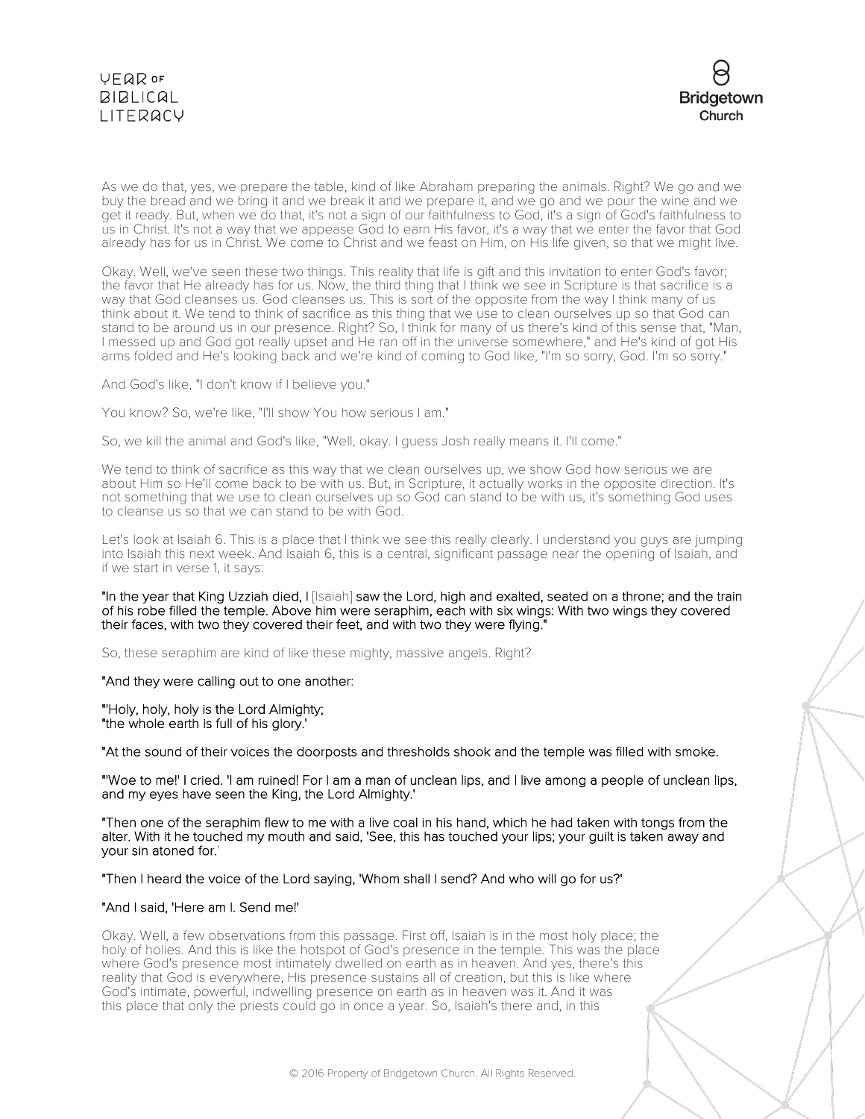



As we do that, yes, we prepare the table, kind of like Abraham preparing the animals. Right? We go and we buy the bread and we bring it and we break it and we prepare it, and we go and we pour the wine and we get it ready. But, when we do that, it's not a sign of our faithfulness to God, it's a sign of God's faithfulness to us in Christ. It's not a way that we appease God to earn His favor, it's a way that we enter the favor that God already has for us in Christ. We come to Christ and we feast on Him, on His life given, so that we might live.

Okay. Well, we've seen these two things. This reality that life is gift and this invitation to enter God's favor; the favor that He already has for us. Now, the third thing that I think we see in Scripture is that sacrifice is a way that God cleanses us. God cleanses us. This is sort of the opposite from the way I think many of us think about it. We tend to think of sacrifice as this thing that we use to clean ourselves up so that God can stand to be around us in our presence. Right? So, I think for many of us there's kind of this sense that, "Man, I messed up and God got really upset and He ran off in the universe somewhere," and He's kind of got His arms folded and He's looking back and we're kind of coming to God like, "I'm so sorry, God. I'm so sorry."

And God's like, "I don't know if I believe you."

You know? So, we're like, "I'll show You how serious I am."

So, we kill the animal and God's like, "Well, okay. I guess Josh really means it. I'll come."

We tend to think of sacrifice as this way that we clean ourselves up, we show God how serious we are about Him so He'll come back to be with us. But, in Scripture, it actually works in the opposite direction. It's not something that we use to clean ourselves up so God can stand to be with us, it's something God uses to cleanse us so that we can stand to be with God.

Let's look at Isaiah 6. This is a place that I think we see this really clearly. I understand you guys are jumping into Isaiah this next week. And Isaiah 6, this is a central, significant passage near the opening of Isaiah, and if we start in verse 1, it says:

"In the year that King Uzziah died, I [Isaiah] saw the Lord, high and exalted, seated on a throne; and the train of his robe filled the temple. Above him were seraphim, each with six wings: With two wings they covered their faces, with two they covered their feet, and with two they were flying."

So, these seraphim are kind of like these mighty, massive angels. Right?

"And they were calling out to one another:

"'Holy, holy, holy is the Lord Almighty; "the whole earth is full of his glory.'

"At the sound of their voices the doorposts and thresholds shook and the temple was filled with smoke.

"'Woe to me!' I cried. 'I am ruined! For I am a man of unclean lips, and I live among a people of unclean lips, and my eyes have seen the King, the Lord Almighty.'

"Then one of the seraphim flew to me with a live coal in his hand, which he had taken with tongs from the alter. With it he touched my mouth and said, 'See, this has touched your lips; your guilt is taken away and your sin atoned for.'

"Then I heard the voice of the Lord saying, 'Whom shall I send? And who will go for us?'

#### "And I said, 'Here am I. Send me!'

Okay. Well, a few observations from this passage. First off, Isaiah is in the most holy place; the holy of holies. And this is like the hotspot of God's presence in the temple. This was the place where God's presence most intimately dwelled on earth as in heaven. And yes, there's this reality that God is everywhere, His presence sustains all of creation, but this is like where God's intimate, powerful, indwelling presence on earth as in heaven was it. And it was this place that only the priests could go in once a year. So, Isaiah's there and, in this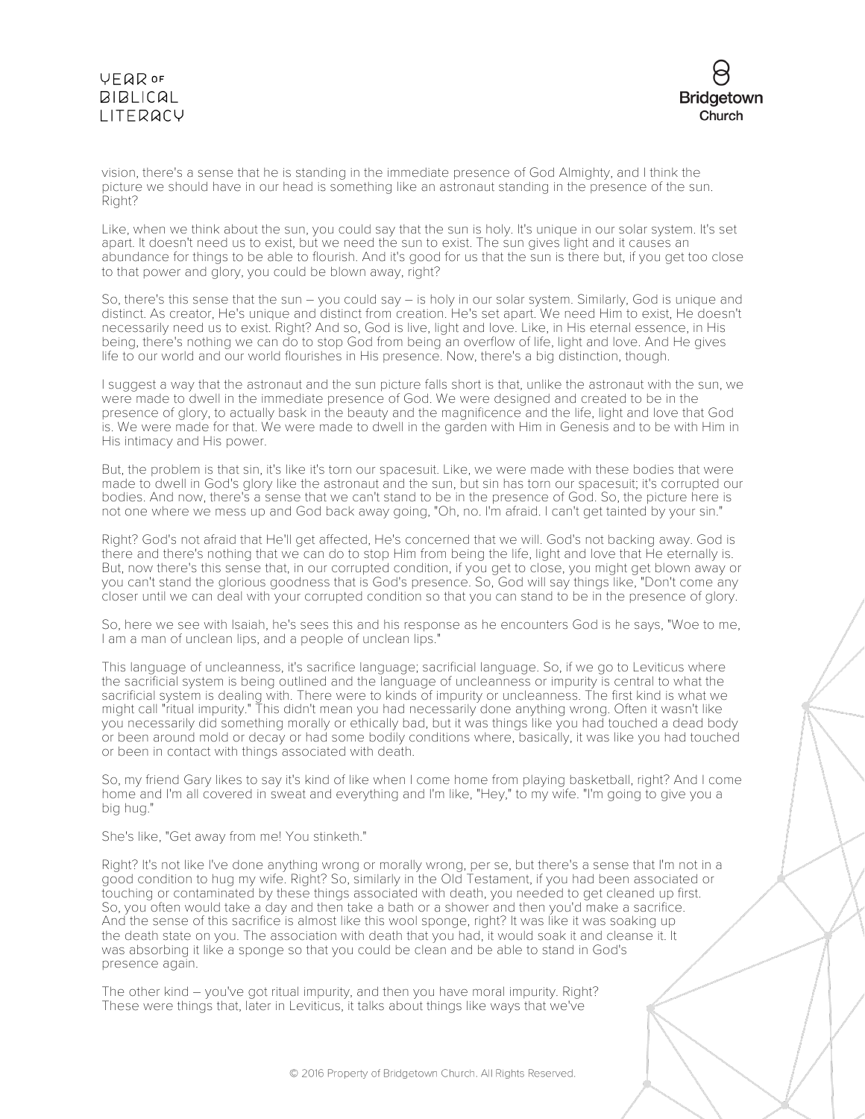# VEQROF **BIBLICAL** LITERACY



vision, there's a sense that he is standing in the immediate presence of God Almighty, and I think the picture we should have in our head is something like an astronaut standing in the presence of the sun. Right?

Like, when we think about the sun, you could say that the sun is holy. It's unique in our solar system. It's set apart. It doesn't need us to exist, but we need the sun to exist. The sun gives light and it causes an abundance for things to be able to flourish. And it's good for us that the sun is there but, if you get too close to that power and glory, you could be blown away, right?

So, there's this sense that the sun – you could say – is holy in our solar system. Similarly, God is unique and distinct. As creator, He's unique and distinct from creation. He's set apart. We need Him to exist, He doesn't necessarily need us to exist. Right? And so, God is live, light and love. Like, in His eternal essence, in His being, there's nothing we can do to stop God from being an overflow of life, light and love. And He gives life to our world and our world flourishes in His presence. Now, there's a big distinction, though.

I suggest a way that the astronaut and the sun picture falls short is that, unlike the astronaut with the sun, we were made to dwell in the immediate presence of God. We were designed and created to be in the presence of glory, to actually bask in the beauty and the magnificence and the life, light and love that God is. We were made for that. We were made to dwell in the garden with Him in Genesis and to be with Him in His intimacy and His power.

But, the problem is that sin, it's like it's torn our spacesuit. Like, we were made with these bodies that were made to dwell in God's glory like the astronaut and the sun, but sin has torn our spacesuit; it's corrupted our bodies. And now, there's a sense that we can't stand to be in the presence of God. So, the picture here is not one where we mess up and God back away going, "Oh, no. I'm afraid. I can't get tainted by your sin."

Right? God's not afraid that He'll get affected, He's concerned that we will. God's not backing away. God is there and there's nothing that we can do to stop Him from being the life, light and love that He eternally is. But, now there's this sense that, in our corrupted condition, if you get to close, you might get blown away or you can't stand the glorious goodness that is God's presence. So, God will say things like, "Don't come any closer until we can deal with your corrupted condition so that you can stand to be in the presence of glory.

So, here we see with Isaiah, he's sees this and his response as he encounters God is he says, "Woe to me, I am a man of unclean lips, and a people of unclean lips."

This language of uncleanness, it's sacrifice language; sacrificial language. So, if we go to Leviticus where the sacrificial system is being outlined and the language of uncleanness or impurity is central to what the sacrificial system is dealing with. There were to kinds of impurity or uncleanness. The first kind is what we might call "ritual impurity." This didn't mean you had necessarily done anything wrong. Often it wasn't like you necessarily did something morally or ethically bad, but it was things like you had touched a dead body or been around mold or decay or had some bodily conditions where, basically, it was like you had touched or been in contact with things associated with death.

So, my friend Gary likes to say it's kind of like when I come home from playing basketball, right? And I come home and I'm all covered in sweat and everything and I'm like, "Hey," to my wife. "I'm going to give you a big hug."

#### She's like, "Get away from me! You stinketh."

Right? It's not like I've done anything wrong or morally wrong, per se, but there's a sense that I'm not in a good condition to hug my wife. Right? So, similarly in the Old Testament, if you had been associated or touching or contaminated by these things associated with death, you needed to get cleaned up first. So, you often would take a day and then take a bath or a shower and then you'd make a sacrifice. And the sense of this sacrifice is almost like this wool sponge, right? It was like it was soaking up the death state on you. The association with death that you had, it would soak it and cleanse it. It was absorbing it like a sponge so that you could be clean and be able to stand in God's presence again.

The other kind – you've got ritual impurity, and then you have moral impurity. Right? These were things that, later in Leviticus, it talks about things like ways that we've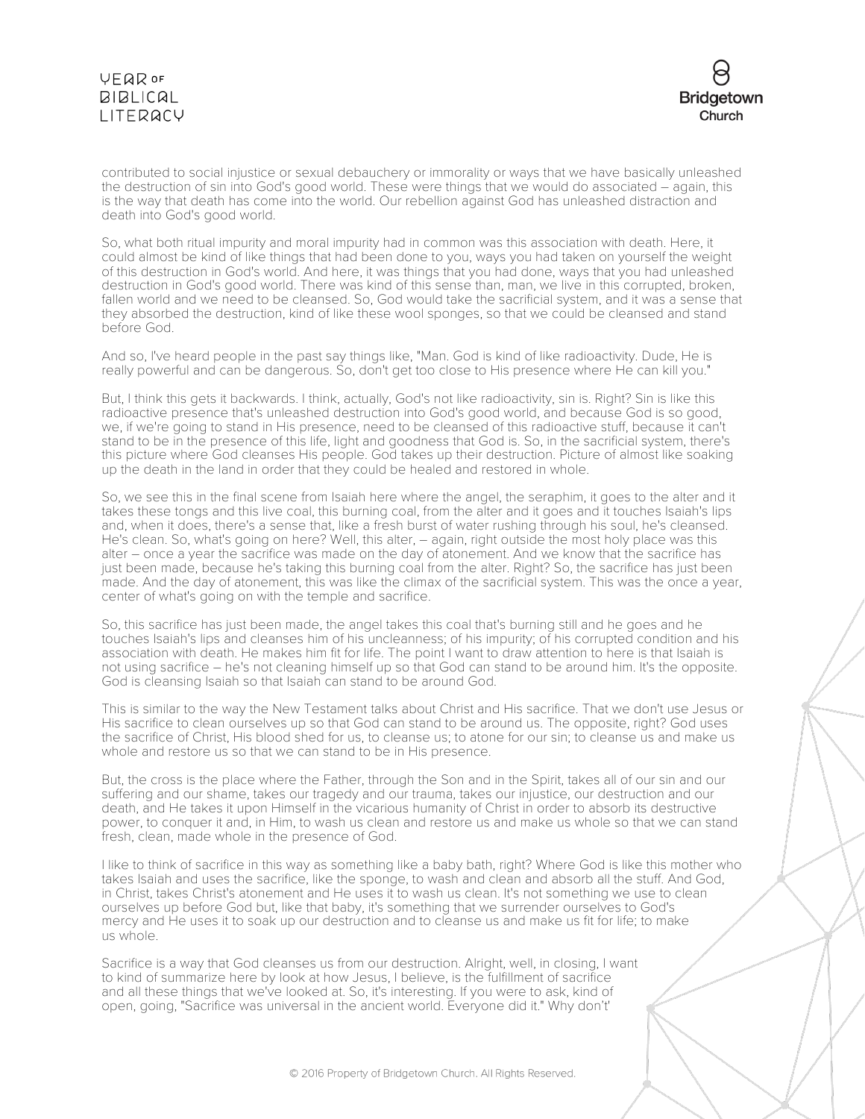# VEQROF **BIBLICAL** LITERACY



contributed to social injustice or sexual debauchery or immorality or ways that we have basically unleashed the destruction of sin into God's good world. These were things that we would do associated – again, this is the way that death has come into the world. Our rebellion against God has unleashed distraction and death into God's good world.

So, what both ritual impurity and moral impurity had in common was this association with death. Here, it could almost be kind of like things that had been done to you, ways you had taken on yourself the weight of this destruction in God's world. And here, it was things that you had done, ways that you had unleashed destruction in God's good world. There was kind of this sense than, man, we live in this corrupted, broken, fallen world and we need to be cleansed. So, God would take the sacrificial system, and it was a sense that they absorbed the destruction, kind of like these wool sponges, so that we could be cleansed and stand before God.

And so, I've heard people in the past say things like, "Man. God is kind of like radioactivity. Dude, He is really powerful and can be dangerous. So, don't get too close to His presence where He can kill you."

But, I think this gets it backwards. I think, actually, God's not like radioactivity, sin is. Right? Sin is like this radioactive presence that's unleashed destruction into God's good world, and because God is so good, we, if we're going to stand in His presence, need to be cleansed of this radioactive stuff, because it can't stand to be in the presence of this life, light and goodness that God is. So, in the sacrificial system, there's this picture where God cleanses His people. God takes up their destruction. Picture of almost like soaking up the death in the land in order that they could be healed and restored in whole.

So, we see this in the final scene from Isaiah here where the angel, the seraphim, it goes to the alter and it takes these tongs and this live coal, this burning coal, from the alter and it goes and it touches Isaiah's lips and, when it does, there's a sense that, like a fresh burst of water rushing through his soul, he's cleansed. He's clean. So, what's going on here? Well, this alter, – again, right outside the most holy place was this alter – once a year the sacrifice was made on the day of atonement. And we know that the sacrifice has just been made, because he's taking this burning coal from the alter. Right? So, the sacrifice has just been made. And the day of atonement, this was like the climax of the sacrificial system. This was the once a year, center of what's going on with the temple and sacrifice.

So, this sacrifice has just been made, the angel takes this coal that's burning still and he goes and he touches Isaiah's lips and cleanses him of his uncleanness; of his impurity; of his corrupted condition and his association with death. He makes him fit for life. The point I want to draw attention to here is that Isaiah is not using sacrifice – he's not cleaning himself up so that God can stand to be around him. It's the opposite. God is cleansing Isaiah so that Isaiah can stand to be around God.

This is similar to the way the New Testament talks about Christ and His sacrifice. That we don't use Jesus or His sacrifice to clean ourselves up so that God can stand to be around us. The opposite, right? God uses the sacrifice of Christ, His blood shed for us, to cleanse us; to atone for our sin; to cleanse us and make us whole and restore us so that we can stand to be in His presence.

But, the cross is the place where the Father, through the Son and in the Spirit, takes all of our sin and our suffering and our shame, takes our tragedy and our trauma, takes our injustice, our destruction and our death, and He takes it upon Himself in the vicarious humanity of Christ in order to absorb its destructive power, to conquer it and, in Him, to wash us clean and restore us and make us whole so that we can stand fresh, clean, made whole in the presence of God.

I like to think of sacrifice in this way as something like a baby bath, right? Where God is like this mother who takes Isaiah and uses the sacrifice, like the sponge, to wash and clean and absorb all the stuff. And God, in Christ, takes Christ's atonement and He uses it to wash us clean. It's not something we use to clean ourselves up before God but, like that baby, it's something that we surrender ourselves to God's mercy and He uses it to soak up our destruction and to cleanse us and make us fit for life; to make us whole.

Sacrifice is a way that God cleanses us from our destruction. Alright, well, in closing, I want to kind of summarize here by look at how Jesus, I believe, is the fulfillment of sacrifice and all these things that we've looked at. So, it's interesting. If you were to ask, kind of open, going, "Sacrifice was universal in the ancient world. Everyone did it." Why don't'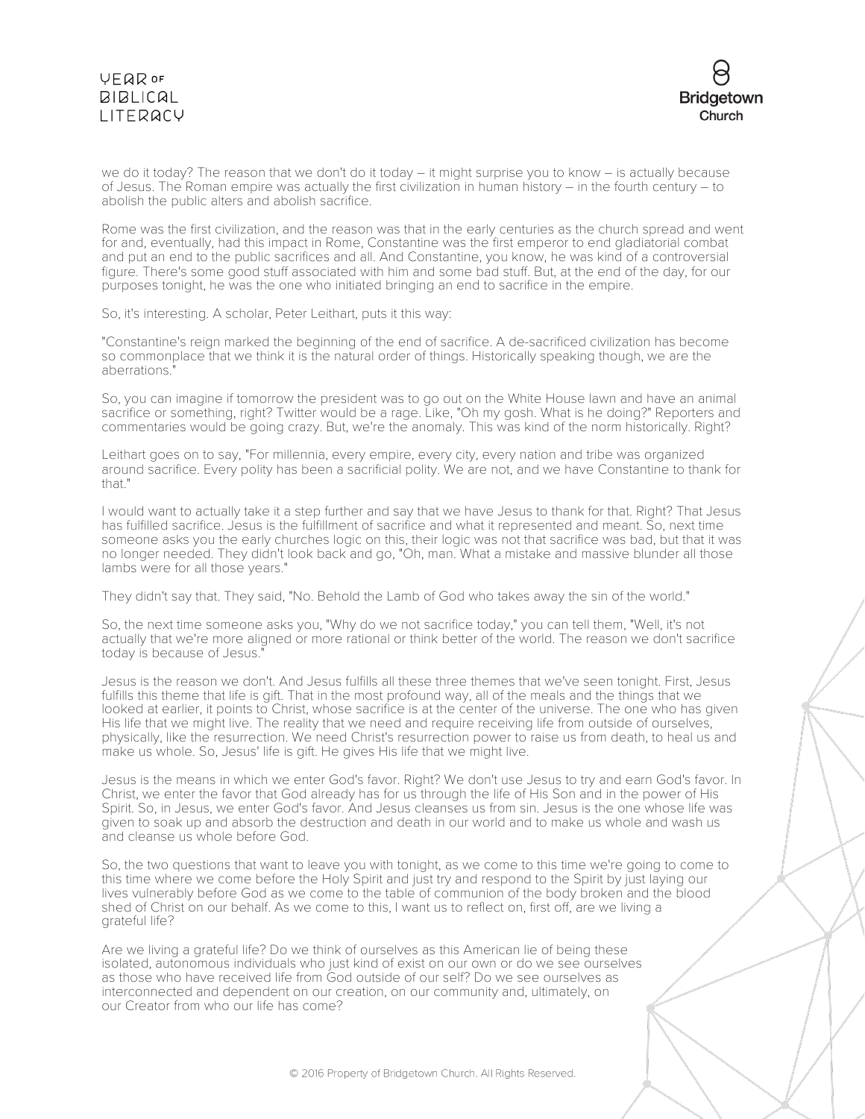# VEQROF  $BIBLICAL$ LITERACY



we do it today? The reason that we don't do it today – it might surprise you to know – is actually because of Jesus. The Roman empire was actually the first civilization in human history – in the fourth century – to abolish the public alters and abolish sacrifice.

Rome was the first civilization, and the reason was that in the early centuries as the church spread and went for and, eventually, had this impact in Rome, Constantine was the first emperor to end gladiatorial combat and put an end to the public sacrifices and all. And Constantine, you know, he was kind of a controversial figure. There's some good stuff associated with him and some bad stuff. But, at the end of the day, for our purposes tonight, he was the one who initiated bringing an end to sacrifice in the empire.

So, it's interesting. A scholar, Peter Leithart, puts it this way:

"Constantine's reign marked the beginning of the end of sacrifice. A de-sacrificed civilization has become so commonplace that we think it is the natural order of things. Historically speaking though, we are the aberrations."

So, you can imagine if tomorrow the president was to go out on the White House lawn and have an animal sacrifice or something, right? Twitter would be a rage. Like, "Oh my gosh. What is he doing?" Reporters and commentaries would be going crazy. But, we're the anomaly. This was kind of the norm historically. Right?

Leithart goes on to say, "For millennia, every empire, every city, every nation and tribe was organized around sacrifice. Every polity has been a sacrificial polity. We are not, and we have Constantine to thank for that."

I would want to actually take it a step further and say that we have Jesus to thank for that. Right? That Jesus has fulfilled sacrifice. Jesus is the fulfillment of sacrifice and what it represented and meant. So, next time someone asks you the early churches logic on this, their logic was not that sacrifice was bad, but that it was no longer needed. They didn't look back and go, "Oh, man. What a mistake and massive blunder all those lambs were for all those years."

They didn't say that. They said, "No. Behold the Lamb of God who takes away the sin of the world."

So, the next time someone asks you, "Why do we not sacrifice today," you can tell them, "Well, it's not actually that we're more aligned or more rational or think better of the world. The reason we don't sacrifice today is because of Jesus."

Jesus is the reason we don't. And Jesus fulfills all these three themes that we've seen tonight. First, Jesus fulfills this theme that life is gift. That in the most profound way, all of the meals and the things that we looked at earlier, it points to Christ, whose sacrifice is at the center of the universe. The one who has given His life that we might live. The reality that we need and require receiving life from outside of ourselves, physically, like the resurrection. We need Christ's resurrection power to raise us from death, to heal us and make us whole. So, Jesus' life is gift. He gives His life that we might live.

Jesus is the means in which we enter God's favor. Right? We don't use Jesus to try and earn God's favor. In Christ, we enter the favor that God already has for us through the life of His Son and in the power of His Spirit. So, in Jesus, we enter God's favor. And Jesus cleanses us from sin. Jesus is the one whose life was given to soak up and absorb the destruction and death in our world and to make us whole and wash us and cleanse us whole before God.

So, the two questions that want to leave you with tonight, as we come to this time we're going to come to this time where we come before the Holy Spirit and just try and respond to the Spirit by just laying our lives vulnerably before God as we come to the table of communion of the body broken and the blood shed of Christ on our behalf. As we come to this, I want us to reflect on, first off, are we living a grateful life?

Are we living a grateful life? Do we think of ourselves as this American lie of being these isolated, autonomous individuals who just kind of exist on our own or do we see ourselves as those who have received life from God outside of our self? Do we see ourselves as interconnected and dependent on our creation, on our community and, ultimately, on our Creator from who our life has come?